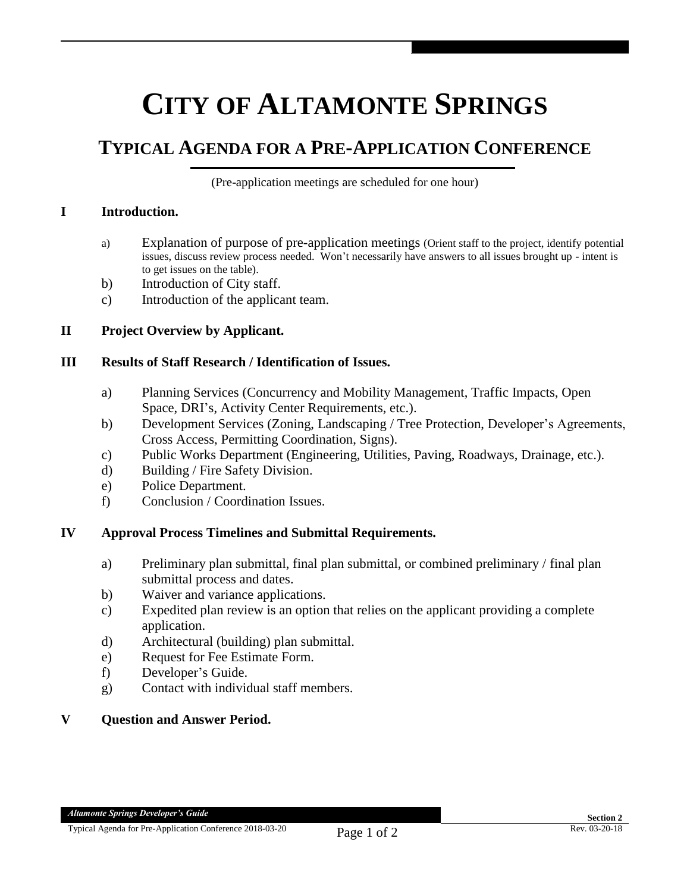# **CITY OF ALTAMONTE SPRINGS**

## **TYPICAL AGENDA FOR A PRE-APPLICATION CONFERENCE**

(Pre-application meetings are scheduled for one hour)

#### **I Introduction.**

- a) Explanation of purpose of pre-application meetings (Orient staff to the project, identify potential issues, discuss review process needed. Won't necessarily have answers to all issues brought up - intent is to get issues on the table).
- b) Introduction of City staff.
- c) Introduction of the applicant team.

#### **II Project Overview by Applicant.**

#### **III Results of Staff Research / Identification of Issues.**

- a) Planning Services (Concurrency and Mobility Management, Traffic Impacts, Open Space, DRI's, Activity Center Requirements, etc.).
- b) Development Services (Zoning, Landscaping / Tree Protection, Developer's Agreements, Cross Access, Permitting Coordination, Signs).
- c) Public Works Department (Engineering, Utilities, Paving, Roadways, Drainage, etc.).
- d) Building / Fire Safety Division.
- e) Police Department.
- f) Conclusion / Coordination Issues.

#### **IV Approval Process Timelines and Submittal Requirements.**

- a) Preliminary plan submittal, final plan submittal, or combined preliminary / final plan submittal process and dates.
- b) Waiver and variance applications.
- c) Expedited plan review is an option that relies on the applicant providing a complete application.
- d) Architectural (building) plan submittal.
- e) Request for Fee Estimate Form.
- f) Developer's Guide.
- g) Contact with individual staff members.

#### **V Question and Answer Period.**